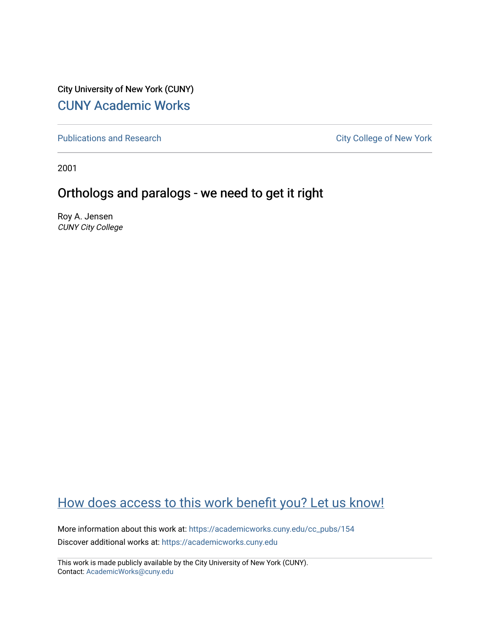City University of New York (CUNY) [CUNY Academic Works](https://academicworks.cuny.edu/) 

[Publications and Research](https://academicworks.cuny.edu/cc_pubs) **City College of New York** Publications and Research

2001

# Orthologs and paralogs - we need to get it right

Roy A. Jensen CUNY City College

# [How does access to this work benefit you? Let us know!](http://ols.cuny.edu/academicworks/?ref=https://academicworks.cuny.edu/cc_pubs/154)

More information about this work at: [https://academicworks.cuny.edu/cc\\_pubs/154](https://academicworks.cuny.edu/cc_pubs/154)  Discover additional works at: [https://academicworks.cuny.edu](https://academicworks.cuny.edu/?)

This work is made publicly available by the City University of New York (CUNY). Contact: [AcademicWorks@cuny.edu](mailto:AcademicWorks@cuny.edu)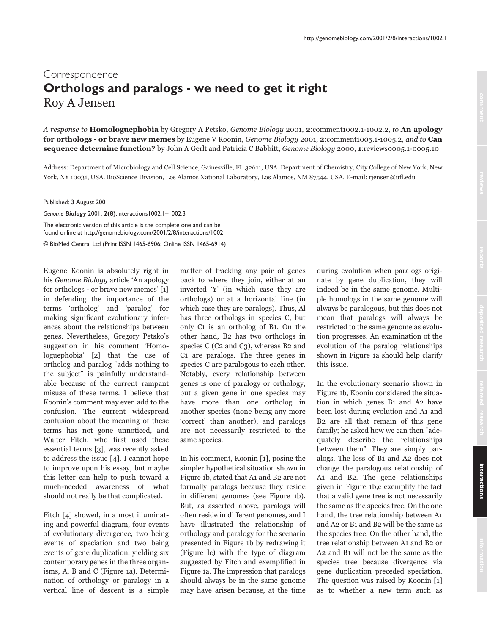### Correspondence Orthologs and paralogs - we need to get it right Roy A Jensen

A response to Homologuephobia by Gregory A Petsko, Genome Biology 2001, 2:comment1002.1-1002.2, to An apology for orthologs - or brave new memes by Eugene V Koonin, Genome Biology 2001, 2:comment1005.1-1005.2, and to Can sequence determine function? by John A Gerlt and Patricia C Babbitt, Genome Biology 2000, 1:reviews0005.1-0005.10

Address: Department of Microbiology and Cell Science, Gainesville, FL 32611, USA, Department of Chemistry, City College of New York, New York, NY 10031, USA. BioScience Division, Los Alamos National Laboratory, Los Alamos, NM 87544, USA. E-mail: rjensen@ufl.edu

Published: 3 August 2001

Genome Biology 2001, 2(8):interactions 1002.1-1002.3

The electronic version of this article is the complete one and can be found online at http://genomebiology.com/2001/2/8/interactions/1002 © BioMed Central Ltd (Print ISSN 1465-6906; Online ISSN 1465-6914)

Eugene Koonin is absolutely right in his Genome Biology article 'An apology for orthologs - or brave new memes' [1] in defending the importance of the terms 'ortholog' and 'paralog' for making significant evolutionary inferences about the relationships between genes. Nevertheless, Gregory Petsko's suggestion in his comment 'Homologuephobia' [2] that the use of ortholog and paralog "adds nothing to the subject" is painfully understandable because of the current rampant misuse of these terms. I believe that Koonin's comment may even add to the confusion. The current widespread confusion about the meaning of these terms has not gone unnoticed, and Walter Fitch, who first used these essential terms [3], was recently asked to address the issue  $[4]$ . I cannot hope to improve upon his essay, but maybe this letter can help to push toward a much-needed awareness of what should not really be that complicated.

Fitch [4] showed, in a most illuminating and powerful diagram, four events of evolutionary divergence, two being events of speciation and two being events of gene duplication, yielding six contemporary genes in the three organisms, A, B and C (Figure 1a). Determination of orthology or paralogy in a vertical line of descent is a simple

matter of tracking any pair of genes back to where they join, either at an inverted 'Y' (in which case they are orthologs) or at a horizontal line (in which case they are paralogs). Thus, Al has three orthologs in species C, but only C1 is an ortholog of B1. On the other hand, B2 has two orthologs in species C (C2 and C3), whereas B2 and C1 are paralogs. The three genes in species C are paralogous to each other. Notably, every relationship between genes is one of paralogy or orthology, but a given gene in one species may have more than one ortholog in another species (none being any more 'correct' than another), and paralogs are not necessarily restricted to the same species.

In his comment, Koonin [1], posing the simpler hypothetical situation shown in Figure 1b, stated that A1 and B2 are not formally paralogs because they reside in different genomes (see Figure 1b). But, as asserted above, paralogs will often reside in different genomes, and I have illustrated the relationship of orthology and paralogy for the scenario presented in Figure 1b by redrawing it (Figure lc) with the type of diagram suggested by Fitch and exemplified in Figure 1a. The impression that paralogs should always be in the same genome may have arisen because, at the time

during evolution when paralogs originate by gene duplication, they will indeed be in the same genome. Multiple homologs in the same genome will always be paralogous, but this does not mean that paralogs will always be restricted to the same genome as evolution progresses. An examination of the evolution of the paralog relationships shown in Figure 1a should help clarify this issue.

In the evolutionary scenario shown in Figure 1b, Koonin considered the situation in which genes B1 and A2 have been lost during evolution and A1 and B<sub>2</sub> are all that remain of this gene family; he asked how we can then "adequately describe the relationships between them". They are simply paralogs. The loss of B1 and A2 does not change the paralogous relationship of A1 and B2. The gene relationships given in Figure 1b,c exemplify the fact that a valid gene tree is not necessarily the same as the species tree. On the one hand, the tree relationship between A1 and A2 or B1 and B2 will be the same as the species tree. On the other hand, the tree relationship between A1 and B2 or A2 and B1 will not be the same as the species tree because divergence via gene duplication preceded speciation. The question was raised by Koonin [1] as to whether a new term such as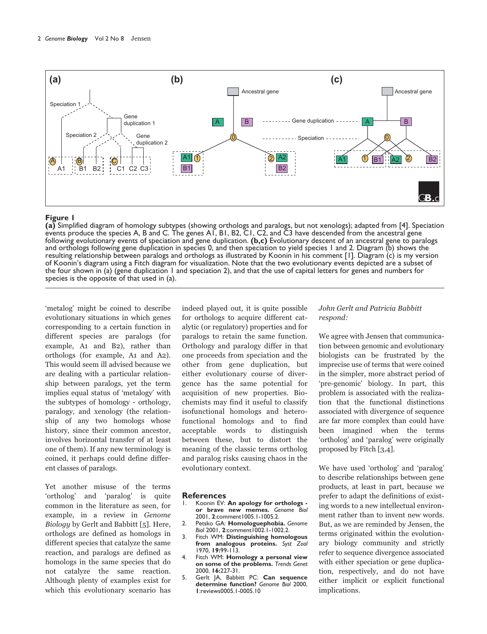

#### Figure 1

(a) Simplified diagram of homology subtypes (showing orthologs and paralogs, but not xenologs); adapted from [4]. Speciation events produce the species A, B and C. The genes AI, BI, B2, CI, C2, and C3 have descended from t following evolutionary events of speciation and gene duplication.  $(b,c)$  Evolutionary descent of an ancestral gene to paralogs and orthologs following gene duplication in species 0, and then speciation to yield species 1 and 2. Diagram (b) shows the resulting relationship between paralogs and orthologs as illustrated by Koonin in his comment [1]. Diagram (c) is my version of Koonin's diagram using a Fitch diagram for visualization. Note that the two evolutionary events depicted are a subset of the four shown in (a) (gene duplication 1 and speciation 2), and that the use of capital letters for genes and numbers for species is the opposite of that used in (a).

'metalog' might be coined to describe evolutionary situations in which genes corresponding to a certain function in different species are paralogs (for example, A1 and B2), rather than orthologs (for example, A1 and A2). This would seem ill advised because we are dealing with a particular relationship between paralogs, yet the term implies equal status of 'metalogy' with the subtypes of homology - orthology, paralogy, and xenology (the relationship of any two homologs whose history, since their common ancestor, involves horizontal transfer of at least one of them). If any new terminology is coined, it perhaps could define different classes of paralogs.

Yet another misuse of the terms 'ortholog' and 'paralog' is quite common in the literature as seen, for example, in a review in Genome Biology by Gerlt and Babbitt [5]. Here, orthologs are defined as homologs in different species that catalyze the same reaction, and paralogs are defined as homologs in the same species that do not catalyze the same reaction. Although plenty of examples exist for which this evolutionary scenario has

indeed played out, it is quite possible for orthologs to acquire different catalytic (or regulatory) properties and for paralogs to retain the same function. Orthology and paralogy differ in that one proceeds from speciation and the other from gene duplication, but either evolutionary course of divergence has the same potential for acquisition of new properties. Biochemists may find it useful to classify isofunctional homologs and heterofunctional homologs and to find acceptable words to distinguish between these, but to distort the meaning of the classic terms ortholog and paralog risks causing chaos in the evolutionary context.

#### **References**

- Koonin EV: An apology for orthologs or brave new memes. Genome Biol 2001, 2:comment1005.1-1005.2.
- 2. Petsko GA: Homologuephobia. Genome Biol 2001, 2:comment 1002.1-1002.2.
- Fitch WM: Distinguishing homologous  $\overline{3}$ . from analogous proteins. Syst Zool  $1970.$   $19:99-113.$
- 4. Fitch WM: Homology a personal view on some of the problems. Trends Genet 2000, 16:227-31.
- 5. Gerlt JA, Babbitt PC: Can sequence determine function? Genome Biol 2000, I:reviews0005.1-0005.10

### John Gerlt and Patricia Babbitt respond:

We agree with Jensen that communication between genomic and evolutionary biologists can be frustrated by the imprecise use of terms that were coined in the simpler, more abstract period of 'pre-genomic' biology. In part, this problem is associated with the realization that the functional distinctions associated with divergence of sequence are far more complex than could have been imagined when the terms 'ortholog' and 'paralog' were originally proposed by Fitch [3,4].

We have used 'ortholog' and 'paralog' to describe relationships between gene products, at least in part, because we prefer to adapt the definitions of existing words to a new intellectual environment rather than to invent new words. But, as we are reminded by Jensen, the terms originated within the evolutionary biology community and strictly refer to sequence divergence associated with either speciation or gene duplication, respectively, and do not have either implicit or explicit functional implications.